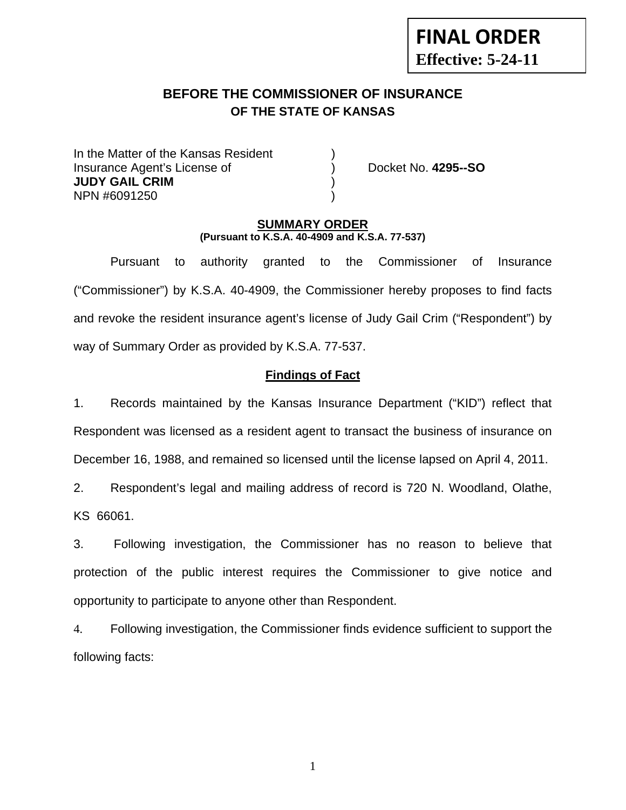# **BEFORE THE COMMISSIONER OF INSURANCE OF THE STATE OF KANSAS**

In the Matter of the Kansas Resident Insurance Agent's License of ) Docket No. **4295--SO JUDY GAIL CRIM** ) NPN #6091250 )

**FINAL ORDER**

**Effective: 5-24-11** 

### **SUMMARY ORDER (Pursuant to K.S.A. 40-4909 and K.S.A. 77-537)**

 Pursuant to authority granted to the Commissioner of Insurance ("Commissioner") by K.S.A. 40-4909, the Commissioner hereby proposes to find facts and revoke the resident insurance agent's license of Judy Gail Crim ("Respondent") by way of Summary Order as provided by K.S.A. 77-537.

## **Findings of Fact**

1. Records maintained by the Kansas Insurance Department ("KID") reflect that Respondent was licensed as a resident agent to transact the business of insurance on December 16, 1988, and remained so licensed until the license lapsed on April 4, 2011.

2. Respondent's legal and mailing address of record is 720 N. Woodland, Olathe, KS 66061.

3. Following investigation, the Commissioner has no reason to believe that protection of the public interest requires the Commissioner to give notice and opportunity to participate to anyone other than Respondent.

4. Following investigation, the Commissioner finds evidence sufficient to support the following facts: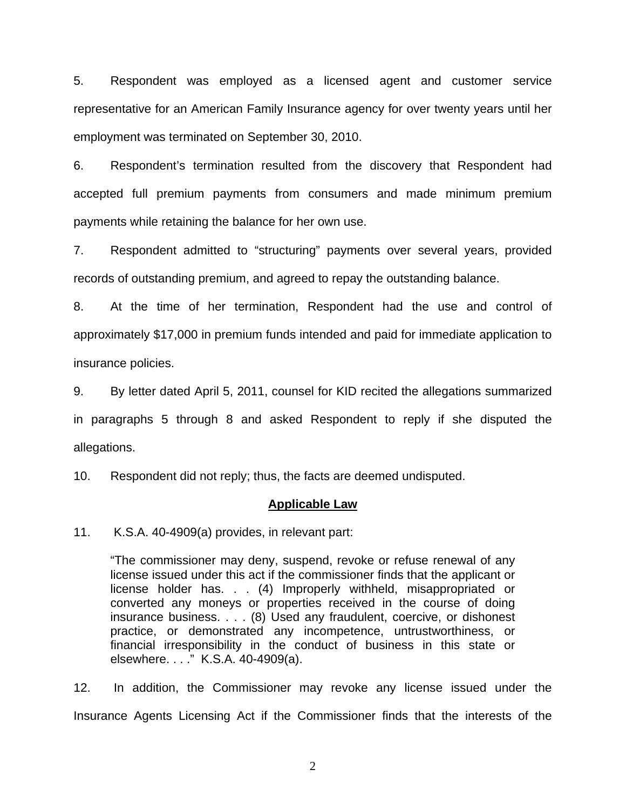5. Respondent was employed as a licensed agent and customer service representative for an American Family Insurance agency for over twenty years until her employment was terminated on September 30, 2010.

6. Respondent's termination resulted from the discovery that Respondent had accepted full premium payments from consumers and made minimum premium payments while retaining the balance for her own use.

7. Respondent admitted to "structuring" payments over several years, provided records of outstanding premium, and agreed to repay the outstanding balance.

8. At the time of her termination, Respondent had the use and control of approximately \$17,000 in premium funds intended and paid for immediate application to insurance policies.

9. By letter dated April 5, 2011, counsel for KID recited the allegations summarized in paragraphs 5 through 8 and asked Respondent to reply if she disputed the allegations.

10. Respondent did not reply; thus, the facts are deemed undisputed.

### **Applicable Law**

11. K.S.A. 40-4909(a) provides, in relevant part:

"The commissioner may deny, suspend, revoke or refuse renewal of any license issued under this act if the commissioner finds that the applicant or license holder has. . . (4) Improperly withheld, misappropriated or converted any moneys or properties received in the course of doing insurance business. . . . (8) Used any fraudulent, coercive, or dishonest practice, or demonstrated any incompetence, untrustworthiness, or financial irresponsibility in the conduct of business in this state or elsewhere. . . ." K.S.A. 40-4909(a).

12. In addition, the Commissioner may revoke any license issued under the Insurance Agents Licensing Act if the Commissioner finds that the interests of the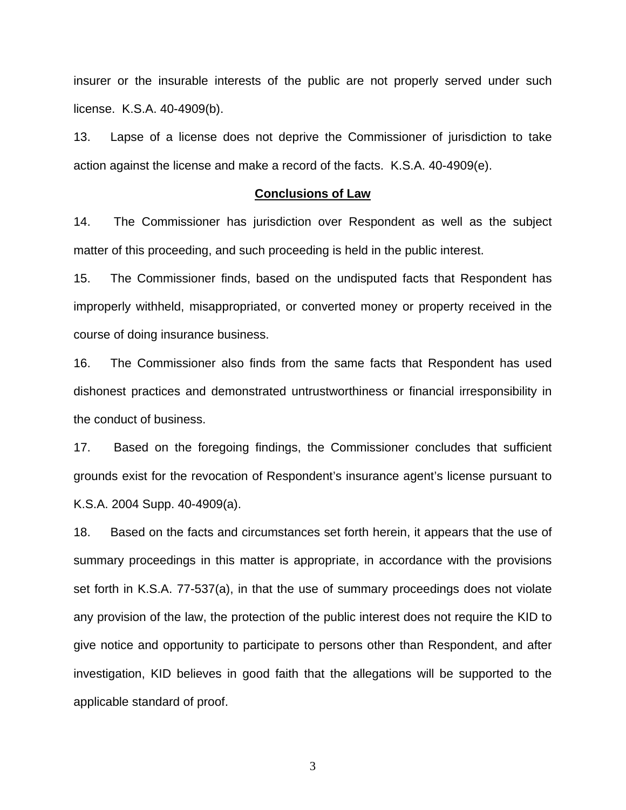insurer or the insurable interests of the public are not properly served under such license. K.S.A. 40-4909(b).

13. Lapse of a license does not deprive the Commissioner of jurisdiction to take action against the license and make a record of the facts. K.S.A. 40-4909(e).

#### **Conclusions of Law**

14. The Commissioner has jurisdiction over Respondent as well as the subject matter of this proceeding, and such proceeding is held in the public interest.

15. The Commissioner finds, based on the undisputed facts that Respondent has improperly withheld, misappropriated, or converted money or property received in the course of doing insurance business.

16. The Commissioner also finds from the same facts that Respondent has used dishonest practices and demonstrated untrustworthiness or financial irresponsibility in the conduct of business.

17. Based on the foregoing findings, the Commissioner concludes that sufficient grounds exist for the revocation of Respondent's insurance agent's license pursuant to K.S.A. 2004 Supp. 40-4909(a).

18. Based on the facts and circumstances set forth herein, it appears that the use of summary proceedings in this matter is appropriate, in accordance with the provisions set forth in K.S.A. 77-537(a), in that the use of summary proceedings does not violate any provision of the law, the protection of the public interest does not require the KID to give notice and opportunity to participate to persons other than Respondent, and after investigation, KID believes in good faith that the allegations will be supported to the applicable standard of proof.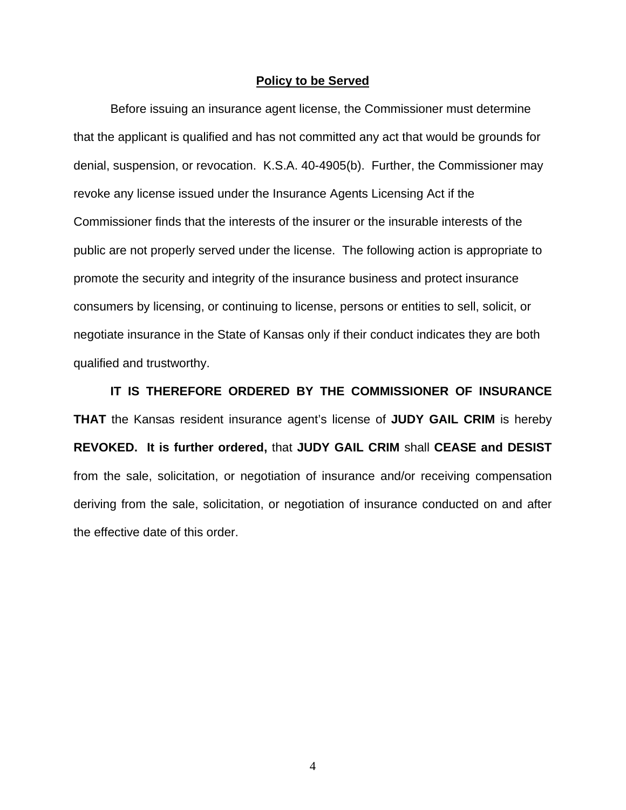#### **Policy to be Served**

 Before issuing an insurance agent license, the Commissioner must determine that the applicant is qualified and has not committed any act that would be grounds for denial, suspension, or revocation. K.S.A. 40-4905(b). Further, the Commissioner may revoke any license issued under the Insurance Agents Licensing Act if the Commissioner finds that the interests of the insurer or the insurable interests of the public are not properly served under the license. The following action is appropriate to promote the security and integrity of the insurance business and protect insurance consumers by licensing, or continuing to license, persons or entities to sell, solicit, or negotiate insurance in the State of Kansas only if their conduct indicates they are both qualified and trustworthy.

 **IT IS THEREFORE ORDERED BY THE COMMISSIONER OF INSURANCE THAT** the Kansas resident insurance agent's license of **JUDY GAIL CRIM** is hereby **REVOKED. It is further ordered,** that **JUDY GAIL CRIM** shall **CEASE and DESIST** from the sale, solicitation, or negotiation of insurance and/or receiving compensation deriving from the sale, solicitation, or negotiation of insurance conducted on and after the effective date of this order.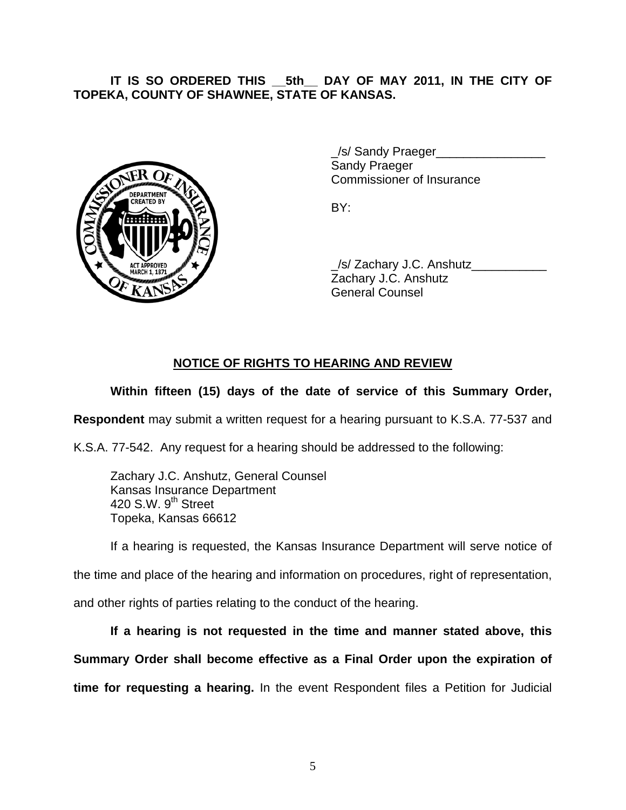**IT IS SO ORDERED THIS \_\_5th\_\_ DAY OF MAY 2011, IN THE CITY OF TOPEKA, COUNTY OF SHAWNEE, STATE OF KANSAS.** 



 \_/s/ Sandy Praeger\_\_\_\_\_\_\_\_\_\_\_\_\_\_\_\_ Sandy Praeger Commissioner of Insurance

 \_/s/ Zachary J.C. Anshutz\_\_\_\_\_\_\_\_\_\_\_ Zachary J.C. Anshutz General Counsel

## **NOTICE OF RIGHTS TO HEARING AND REVIEW**

## **Within fifteen (15) days of the date of service of this Summary Order,**

**Respondent** may submit a written request for a hearing pursuant to K.S.A. 77-537 and

K.S.A. 77-542. Any request for a hearing should be addressed to the following:

 Zachary J.C. Anshutz, General Counsel Kansas Insurance Department 420 S.W. 9<sup>th</sup> Street Topeka, Kansas 66612

If a hearing is requested, the Kansas Insurance Department will serve notice of

the time and place of the hearing and information on procedures, right of representation,

and other rights of parties relating to the conduct of the hearing.

**If a hearing is not requested in the time and manner stated above, this Summary Order shall become effective as a Final Order upon the expiration of time for requesting a hearing.** In the event Respondent files a Petition for Judicial